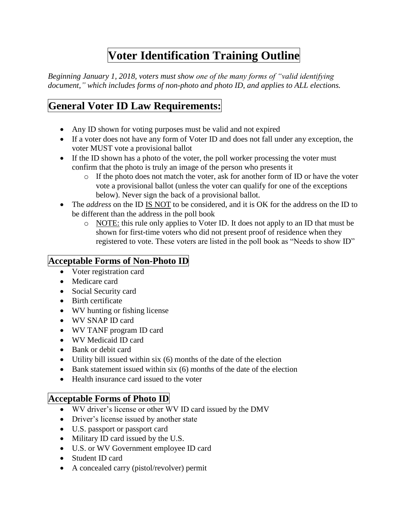# **Voter Identification Training Outline**

*Beginning January 1, 2018, voters must show one of the many forms of "valid identifying document," which includes forms of non-photo and photo ID, and applies to ALL elections.*

# **General Voter ID Law Requirements:**

- Any ID shown for voting purposes must be valid and not expired
- If a voter does not have any form of Voter ID and does not fall under any exception, the voter MUST vote a provisional ballot
- If the ID shown has a photo of the voter, the poll worker processing the voter must confirm that the photo is truly an image of the person who presents it
	- o If the photo does not match the voter, ask for another form of ID or have the voter vote a provisional ballot (unless the voter can qualify for one of the exceptions below). Never sign the back of a provisional ballot.
- The *address* on the ID IS NOT to be considered, and it is OK for the address on the ID to be different than the address in the poll book
	- o NOTE: this rule only applies to Voter ID. It does not apply to an ID that must be shown for first-time voters who did not present proof of residence when they registered to vote. These voters are listed in the poll book as "Needs to show ID"

# **Acceptable Forms of Non-Photo ID**

- Voter registration card
- Medicare card
- Social Security card
- Birth certificate
- WV hunting or fishing license
- WV SNAP ID card
- WV TANF program ID card
- WV Medicaid ID card
- Bank or debit card
- Utility bill issued within six (6) months of the date of the election
- $\bullet$  Bank statement issued within six (6) months of the date of the election
- Health insurance card issued to the voter

# **Acceptable Forms of Photo ID**

- WV driver's license or other WV ID card issued by the DMV
- Driver's license issued by another state
- U.S. passport or passport card
- Military ID card issued by the U.S.
- U.S. or WV Government employee ID card
- Student ID card
- A concealed carry (pistol/revolver) permit